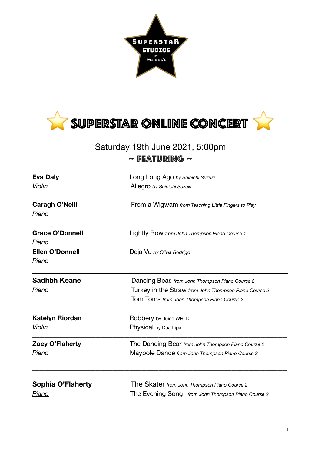



## Saturday 19th June 2021, 5:00pm **~** Featuring **~**

| <b>Eva Daly</b><br>Violin       | Long Long Ago by Shinichi Suzuki<br>Allegro by Shinichi Suzuki |
|---------------------------------|----------------------------------------------------------------|
|                                 |                                                                |
| <b>Grace O'Donnell</b><br>Piano | Lightly Row from John Thompson Piano Course 1                  |
| <b>Ellen O'Donnell</b><br>Piano | Deja Vu by Olivia Rodrigo                                      |
| <b>Sadhbh Keane</b>             | Dancing Bear. from John Thompson Piano Course 2                |
| Piano                           | Turkey in the Straw from John Thompson Piano Course 2          |
|                                 | Tom Toms from John Thompson Piano Course 2                     |
| <b>Katelyn Riordan</b>          | Robbery by Juice WRLD                                          |
| Violin                          | Physical by Dua Lipa                                           |
| Zoey O'Flaherty                 | The Dancing Bear from John Thompson Piano Course 2             |
| <u>Piano</u>                    | Maypole Dance from John Thompson Piano Course 2                |
| <b>Sophia O'Flaherty</b>        | The Skater from John Thompson Piano Course 2                   |
| Piano                           | The Evening Song from John Thompson Piano Course 2             |